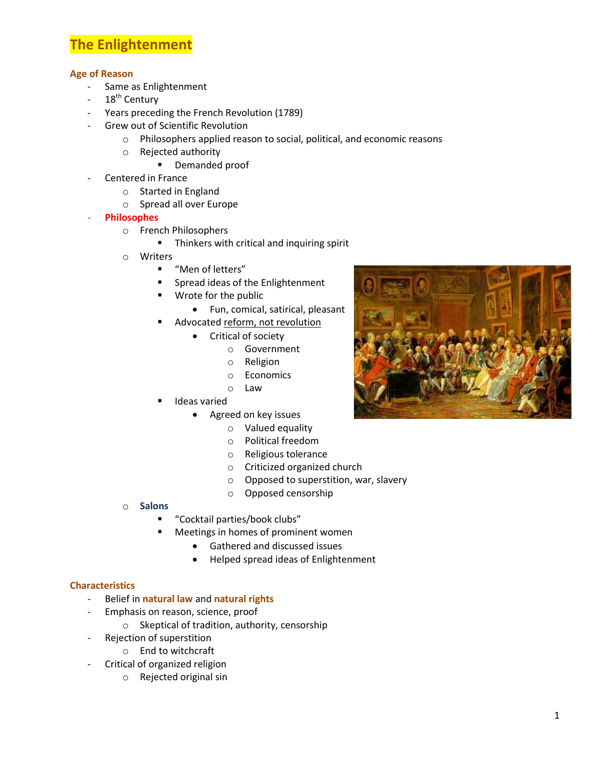# **The Enlightenment**

# **Age of Reason**

- Same as Enlightenment
- $18<sup>th</sup>$  Century
- Years preceding the French Revolution (1789)
- Grew out of Scientific Revolution
	- o Philosophers applied reason to social, political, and economic reasons
	- o Rejected authority
		- **•** Demanded proof
- Centered in France
	- o Started in England
	- o Spread all over Europe
- **Philosophes**
	- o French Philosophers
		- **Thinkers with critical and inquiring spirit**
	- o Writers
		- "Men of letters"
		- **Spread ideas of the Enlightenment**
		- Wrote for the public
			- Fun, comical, satirical, pleasant
		- Advocated reform, not revolution
			- Critical of society
				- o Government
					- o Religion
					- o Economics
				- o Law
		- Ideas varied
			- Agreed on key issues
				- o Valued equality
					- o Political freedom
					- o Religious tolerance
					- o Criticized organized church
					- o Opposed to superstition, war, slavery
					- o Opposed censorship

### o **Salons**

- "Cocktail parties/book clubs"
- Meetings in homes of prominent women
	- Gathered and discussed issues
	- Helped spread ideas of Enlightenment

### **Characteristics**

- Belief in **natural law** and **natural rights**
- Emphasis on reason, science, proof
	- o Skeptical of tradition, authority, censorship
- Rejection of superstition
	- o End to witchcraft
- Critical of organized religion
	- o Rejected original sin

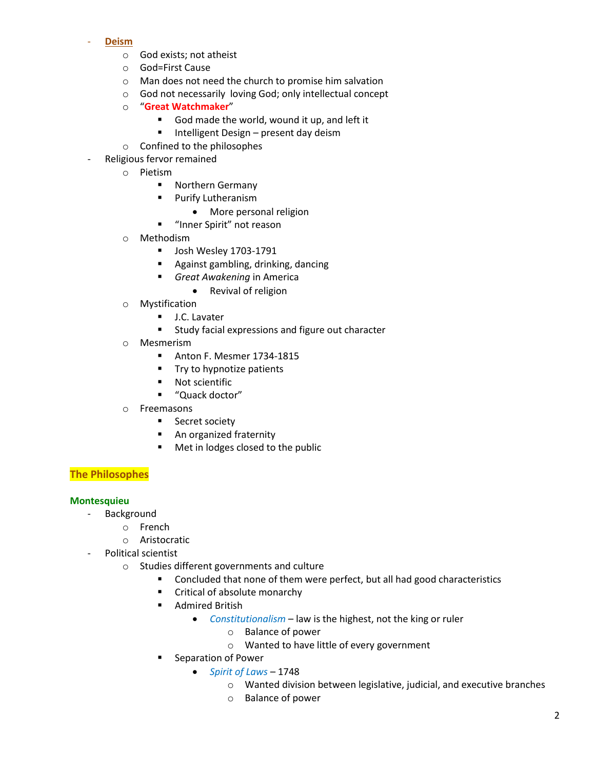#### - **Deism**

- o God exists; not atheist
- o God=First Cause
- o Man does not need the church to promise him salvation
- o God not necessarily loving God; only intellectual concept
- o "**Great Watchmaker**"
	- God made the world, wound it up, and left it
	- **Intelligent Design present day deism**
- o Confined to the philosophes
- Religious fervor remained
	- o Pietism
		- **Northern Germany**
		- **Purify Lutheranism** 
			- More personal religion
		- **"** "Inner Spirit" not reason
	- o Methodism
		- **Josh Wesley 1703-1791**
		- **Against gambling, drinking, dancing**
		- *Great Awakening* in America
			- Revival of religion
	- o Mystification
		- **J.C. Lavater**
		- Study facial expressions and figure out character
	- o Mesmerism
		- Anton F. Mesmer 1734-1815
		- **Try to hypnotize patients**
		- **Not scientific**
		- "Quack doctor"
	- o Freemasons
		- **Secret society**
		- **An organized fraternity**
		- Met in lodges closed to the public

# **The Philosophes**

### **Montesquieu**

- Background
	- o French
	- o Aristocratic
- Political scientist
	- o Studies different governments and culture
		- **Concluded that none of them were perfect, but all had good characteristics**
		- Critical of absolute monarchy
		- **-** Admired British
			- *Constitutionalism* law is the highest, not the king or ruler
				- o Balance of power
				- o Wanted to have little of every government
		- Separation of Power
			- *Spirit of Laws* 1748
				- o Wanted division between legislative, judicial, and executive branches
				- o Balance of power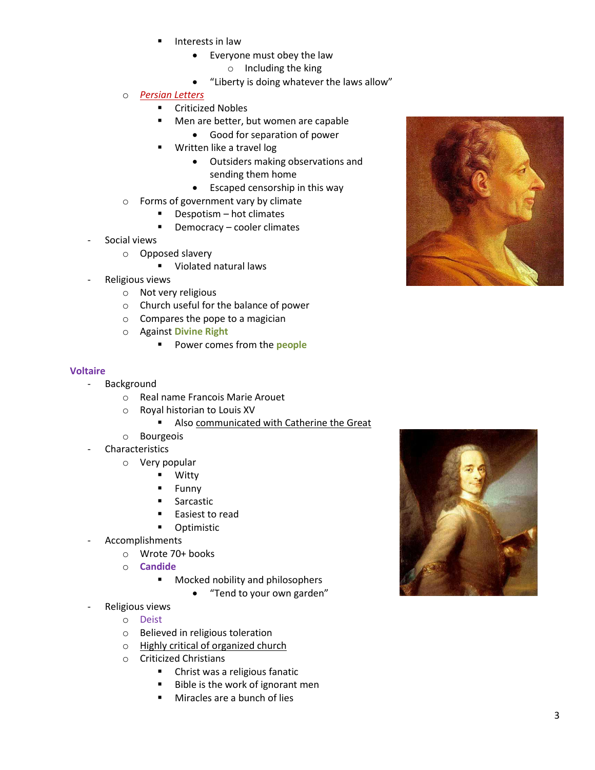- Interests in law
	- Everyone must obey the law
		- o Including the king
	- "Liberty is doing whatever the laws allow"
- o *Persian Letters*
	- **E** Criticized Nobles
	- **Men are better, but women are capable** 
		- Good for separation of power
	- Written like a travel log
		- Outsiders making observations and sending them home
		- Escaped censorship in this way
- o Forms of government vary by climate
	- Despotism hot climates
	- **Democracy cooler climates**
- Social views
	- o Opposed slavery
		- **•** Violated natural laws
- Religious views
	- o Not very religious
	- o Church useful for the balance of power
	- o Compares the pope to a magician
	- o Against **Divine Right**
		- **Power comes from the people**

#### **Voltaire**

- Background
	- o Real name Francois Marie Arouet
	- o Royal historian to Louis XV
		- **Also communicated with Catherine the Great**
	- o Bourgeois
- Characteristics
	- o Very popular
		- **U** Witty
		- **Funny**
		- **Sarcastic**
		- Easiest to read
		- **-** Optimistic
- **Accomplishments** 
	- o Wrote 70+ books
	- o **Candide**
		- **Mocked nobility and philosophers** 
			- "Tend to your own garden"
- Religious views
	- o Deist
	- o Believed in religious toleration
	- o Highly critical of organized church
	- o Criticized Christians
		- **EXEC** Christ was a religious fanatic
		- Bible is the work of ignorant men
		- **Miracles are a bunch of lies**



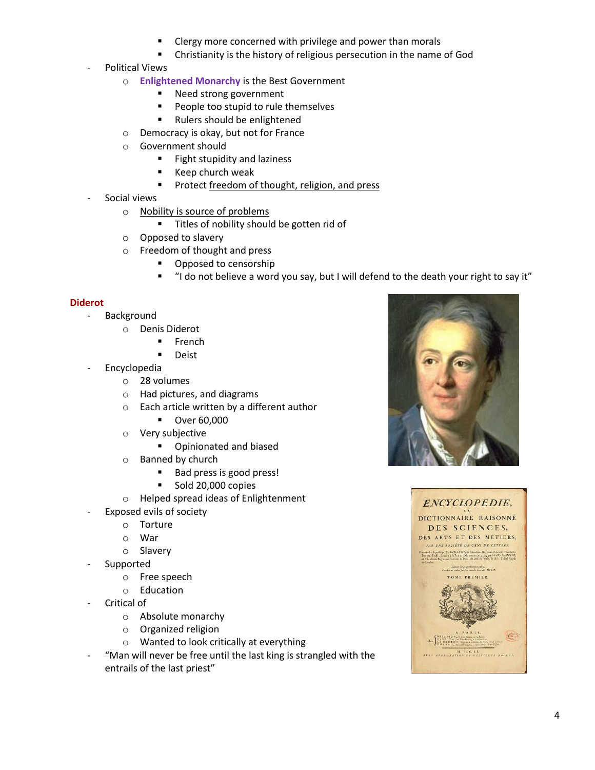- Clergy more concerned with privilege and power than morals
- Christianity is the history of religious persecution in the name of God
- Political Views
	- o **Enlightened Monarchy** is the Best Government
		- Need strong government
		- **People too stupid to rule themselves**
		- Rulers should be enlightened
	- o Democracy is okay, but not for France
	- o Government should
		- **Fight stupidity and laziness**
		- **Keep church weak**
		- **Protect freedom of thought, religion, and press**
- Social views
	- o Nobility is source of problems
		- **Titles of nobility should be gotten rid of**
	- o Opposed to slavery
	- o Freedom of thought and press
		- **•** Opposed to censorship
		- "I do not believe a word you say, but I will defend to the death your right to say it"

### **Diderot**

- Background
	- o Denis Diderot
		- **French**
		- **Deist**
- **Encyclopedia** 
	- o 28 volumes
	- o Had pictures, and diagrams
	- o Each article written by a different author
		- **D** Over 60,000
	- o Very subjective
		- **•** Opinionated and biased
	- o Banned by church
		- Bad press is good press!
		- Sold 20,000 copies
	- o Helped spread ideas of Enlightenment
- Exposed evils of society
	- o Torture
	- o War
	- o Slavery
- **Supported** 
	- o Free speech
	- o Education
- Critical of
	- o Absolute monarchy
	- o Organized religion
	- o Wanted to look critically at everything
- "Man will never be free until the last king is strangled with the entrails of the last priest"